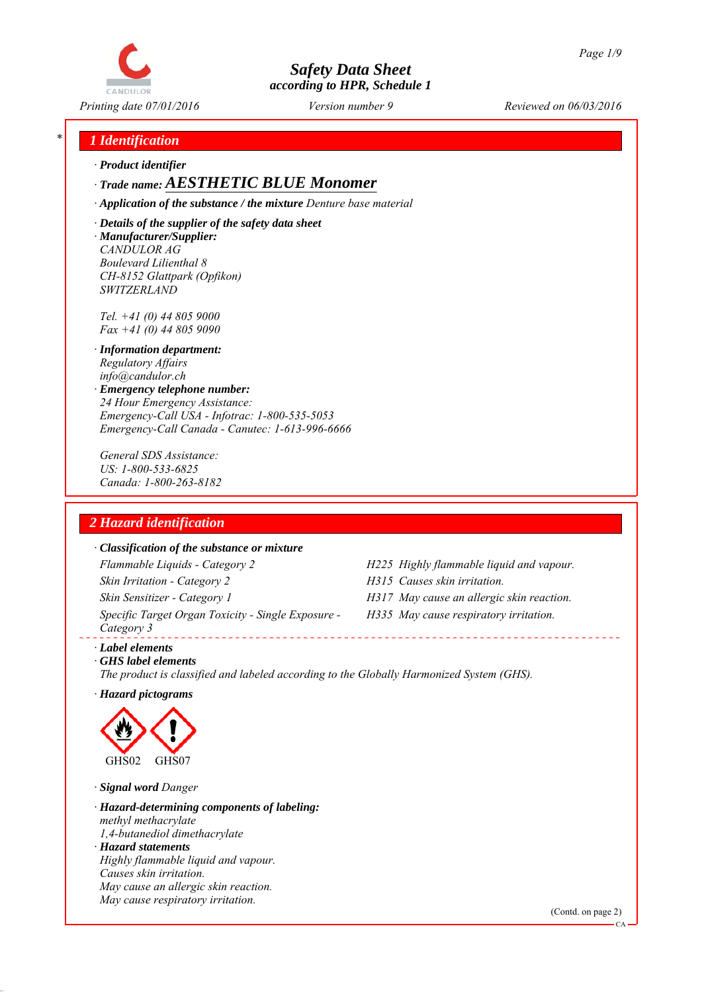

*Printing date 07/01/2016 Reviewed on 06/03/2016 Version number 9*

## *\* 1 Identification*

*∙ Product identifier*

## *∙ Trade name: AESTHETIC BLUE Monomer*

*∙ Application of the substance / the mixture Denture base material*

*∙ Details of the supplier of the safety data sheet ∙ Manufacturer/Supplier: CANDULOR AG Boulevard Lilienthal 8 CH-8152 Glattpark (Opfikon) SWITZERLAND*

*Tel. +41 (0) 44 805 9000 Fax +41 (0) 44 805 9090*

- *∙ Information department: Regulatory Affairs info@candulor.ch*
- *∙ Emergency telephone number: 24 Hour Emergency Assistance: Emergency-Call USA - Infotrac: 1-800-535-5053 Emergency-Call Canada - Canutec: 1-613-996-6666*

*General SDS Assistance: US: 1-800-533-6825 Canada: 1-800-263-8182*

## *2 Hazard identification*

#### *∙ Classification of the substance or mixture*

*Flammable Liquids - Category 2 H225 Highly flammable liquid and vapour. Skin Irritation - Category 2 H315 Causes skin irritation. Skin Sensitizer - Category 1 H317 May cause an allergic skin reaction. Specific Target Organ Toxicity - Single Exposure - Category 3* 

- 
- 
- *H335 May cause respiratory irritation.*

*∙ Label elements*

*∙ GHS label elements The product is classified and labeled according to the Globally Harmonized System (GHS).*

*∙ Hazard pictograms*



*∙ Signal word Danger*

*∙ Hazard-determining components of labeling: methyl methacrylate 1,4-butanediol dimethacrylate ∙ Hazard statements Highly flammable liquid and vapour. Causes skin irritation. May cause an allergic skin reaction. May cause respiratory irritation.*

(Contd. on page 2)

CA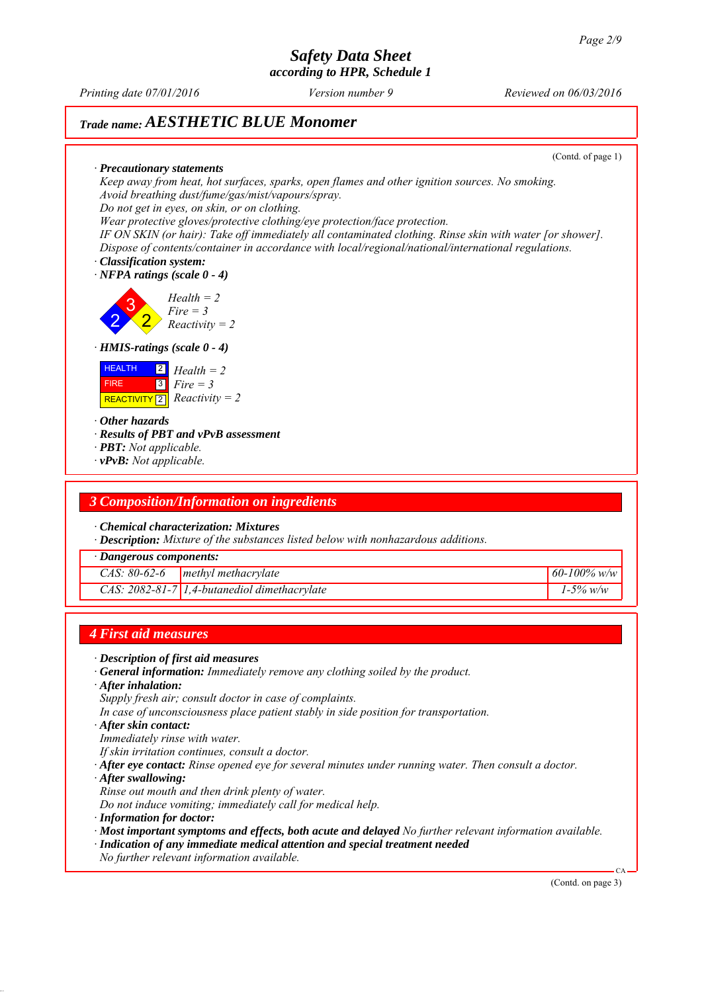*Printing date 07/01/2016 Reviewed on 06/03/2016 Version number 9*

## *Trade name: AESTHETIC BLUE Monomer*

(Contd. of page 1)

*∙ Precautionary statements Keep away from heat, hot surfaces, sparks, open flames and other ignition sources. No smoking. Avoid breathing dust/fume/gas/mist/vapours/spray. Do not get in eyes, on skin, or on clothing.*

*Wear protective gloves/protective clothing/eye protection/face protection.*

*IF ON SKIN (or hair): Take off immediately all contaminated clothing. Rinse skin with water [or shower]. Dispose of contents/container in accordance with local/regional/national/international regulations.*

*∙ Classification system:*

*∙ NFPA ratings (scale 0 - 4)*

2 3 2 *Health = 2 Fire = 3 Reactivity = 2*

*∙ HMIS-ratings (scale 0 - 4)*



*∙ Other hazards*

*∙ Results of PBT and vPvB assessment*

- *∙ PBT: Not applicable.*
- *∙ vPvB: Not applicable.*

### *3 Composition/Information on ingredients*

*∙ Chemical characterization: Mixtures*

*∙ Description: Mixture of the substances listed below with nonhazardous additions.*

*∙ Dangerous components:*

|  | CAS: $80-62-6$ methyl methacrylate             | $60 - 100\%$ w/w |
|--|------------------------------------------------|------------------|
|  | $CAS: 2082-81-7$ 1,4-butanediol dimethacrylate | $1 - 5\%$ w/w    |

## *4 First aid measures*

- *∙ Description of first aid measures*
- *∙ General information: Immediately remove any clothing soiled by the product.*
- *∙ After inhalation:*
- *Supply fresh air; consult doctor in case of complaints.*
- *In case of unconsciousness place patient stably in side position for transportation.*
- *∙ After skin contact:*
- *Immediately rinse with water.*
- *If skin irritation continues, consult a doctor.*
- *∙ After eye contact: Rinse opened eye for several minutes under running water. Then consult a doctor.*
- *∙ After swallowing:*
- *Rinse out mouth and then drink plenty of water.*
- *Do not induce vomiting; immediately call for medical help.*
- *∙ Information for doctor:*
- *∙ Most important symptoms and effects, both acute and delayed No further relevant information available.*
- *∙ Indication of any immediate medical attention and special treatment needed*
- *No further relevant information available.*

(Contd. on page 3)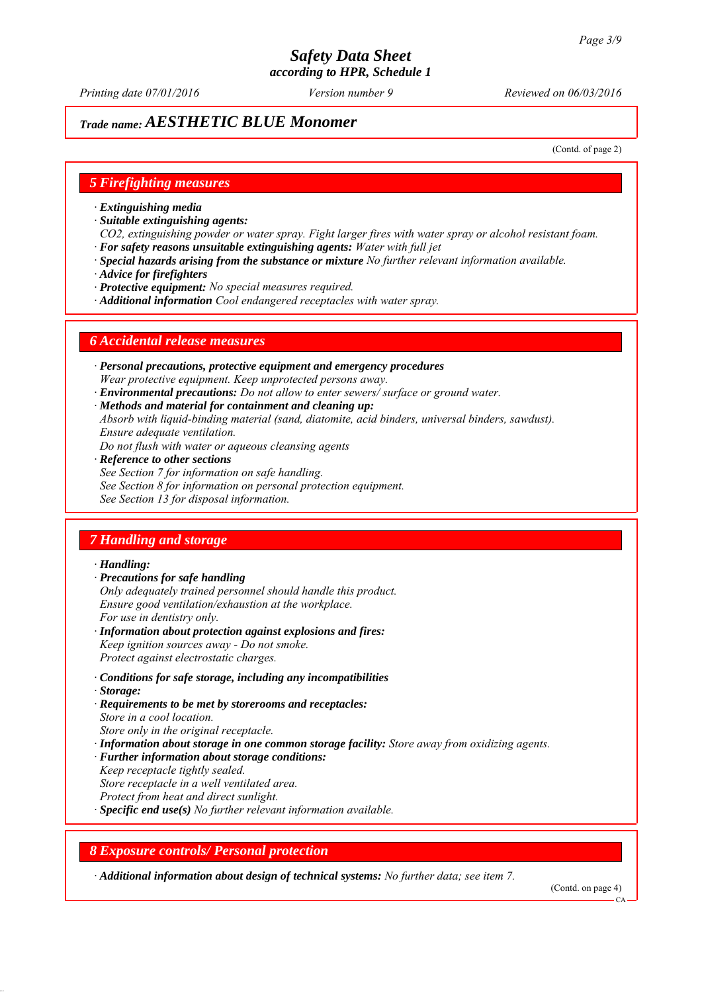*Printing date 07/01/2016 Reviewed on 06/03/2016 Version number 9*

## *Trade name: AESTHETIC BLUE Monomer*

(Contd. of page 2)

### *5 Firefighting measures*

- *∙ Extinguishing media*
- *∙ Suitable extinguishing agents:*
- *CO2, extinguishing powder or water spray. Fight larger fires with water spray or alcohol resistant foam. ∙ For safety reasons unsuitable extinguishing agents: Water with full jet*
- *∙ Special hazards arising from the substance or mixture No further relevant information available.*
- *∙ Advice for firefighters*
- *∙ Protective equipment: No special measures required.*
- *∙ Additional information Cool endangered receptacles with water spray.*

#### *6 Accidental release measures*

- *∙ Personal precautions, protective equipment and emergency procedures Wear protective equipment. Keep unprotected persons away.*
- *∙ Environmental precautions: Do not allow to enter sewers/ surface or ground water.*
- *∙ Methods and material for containment and cleaning up:*
- *Absorb with liquid-binding material (sand, diatomite, acid binders, universal binders, sawdust). Ensure adequate ventilation.*
- *Do not flush with water or aqueous cleansing agents*
- *∙ Reference to other sections*
- *See Section 7 for information on safe handling.*
- *See Section 8 for information on personal protection equipment.*
- *See Section 13 for disposal information.*

## *7 Handling and storage*

#### *∙ Handling:*

- *∙ Precautions for safe handling*
- *Only adequately trained personnel should handle this product. Ensure good ventilation/exhaustion at the workplace. For use in dentistry only.*
- *∙ Information about protection against explosions and fires: Keep ignition sources away - Do not smoke. Protect against electrostatic charges.*
- *∙ Conditions for safe storage, including any incompatibilities*
- *∙ Storage:*
- *∙ Requirements to be met by storerooms and receptacles: Store in a cool location. Store only in the original receptacle.*
- *∙ Information about storage in one common storage facility: Store away from oxidizing agents.*
- *∙ Further information about storage conditions:*
- *Keep receptacle tightly sealed.*
- *Store receptacle in a well ventilated area.*
- *Protect from heat and direct sunlight.*
- *∙ Specific end use(s) No further relevant information available.*

## *8 Exposure controls/ Personal protection*

*∙ Additional information about design of technical systems: No further data; see item 7.*

(Contd. on page 4)

 $CA$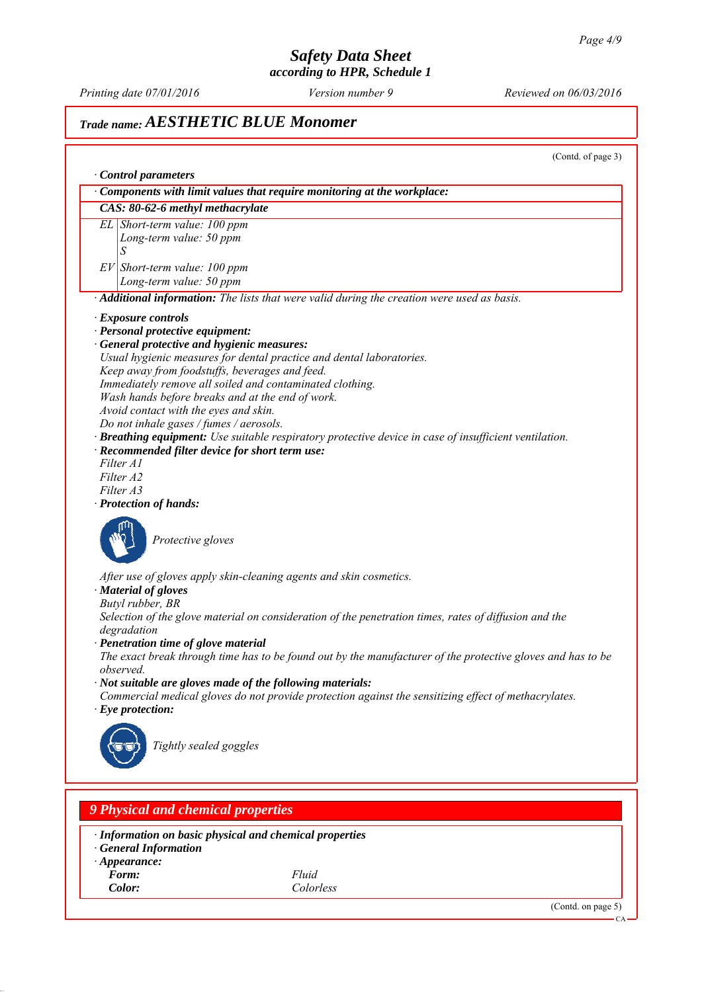*Printing date 07/01/2016 Reviewed on 06/03/2016 Version number 9*

## *Trade name: AESTHETIC BLUE Monomer*

(Contd. of page 3) *∙ Control parameters ∙ Components with limit values that require monitoring at the workplace: CAS: 80-62-6 methyl methacrylate EL Short-term value: 100 ppm Long-term value: 50 ppm S EV Short-term value: 100 ppm Long-term value: 50 ppm ∙ Additional information: The lists that were valid during the creation were used as basis. ∙ Exposure controls ∙ Personal protective equipment: ∙ General protective and hygienic measures: Usual hygienic measures for dental practice and dental laboratories. Keep away from foodstuffs, beverages and feed. Immediately remove all soiled and contaminated clothing. Wash hands before breaks and at the end of work. Avoid contact with the eyes and skin. Do not inhale gases / fumes / aerosols. ∙ Breathing equipment: Use suitable respiratory protective device in case of insufficient ventilation. ∙ Recommended filter device for short term use: Filter A1 Filter A2 Filter A3 ∙ Protection of hands: Protective gloves After use of gloves apply skin-cleaning agents and skin cosmetics. ∙ Material of gloves Butyl rubber, BR Selection of the glove material on consideration of the penetration times, rates of diffusion and the degradation ∙ Penetration time of glove material The exact break through time has to be found out by the manufacturer of the protective gloves and has to be observed. ∙ Not suitable are gloves made of the following materials: Commercial medical gloves do not provide protection against the sensitizing effect of methacrylates. ∙ Eye protection: Tightly sealed goggles*

*∙ Information on basic physical and chemical properties*

*∙ General Information*

*9 Physical and chemical properties*

- *∙ Appearance:*
- *Form: Fluid*

*Color: Colorless*

(Contd. on page 5)

CA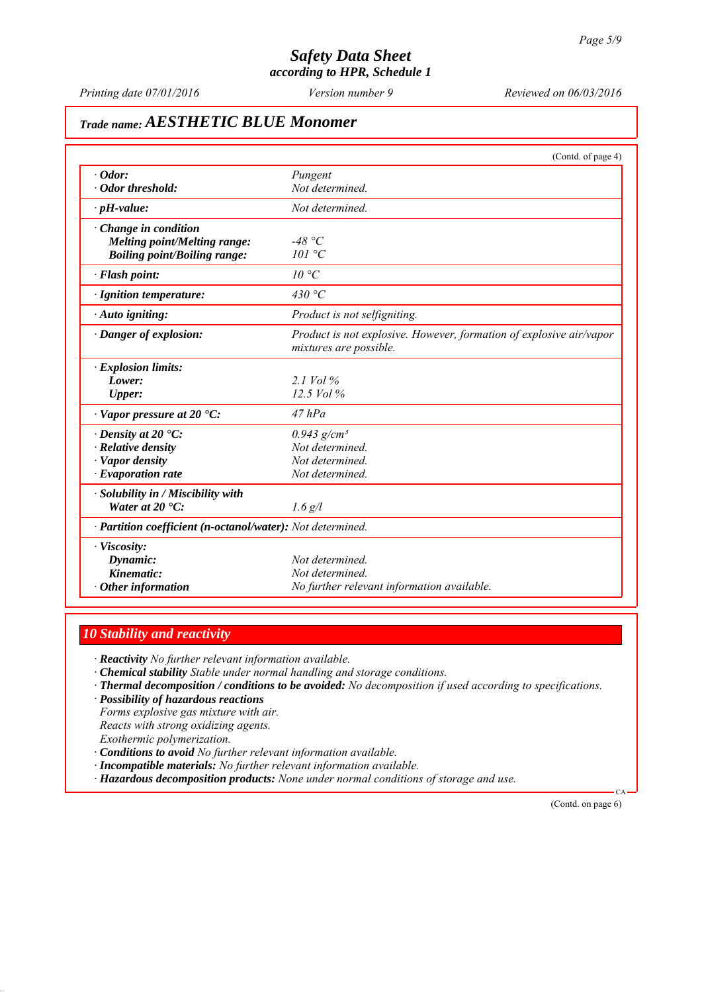*Printing date 07/01/2016 Reviewed on 06/03/2016 Version number 9*

# *Trade name: AESTHETIC BLUE Monomer*

|                                                            | (Contd. of page 4)                                                                            |
|------------------------------------------------------------|-----------------------------------------------------------------------------------------------|
| $\cdot$ Odor:                                              | Pungent                                                                                       |
| · Odor threshold:                                          | Not determined.                                                                               |
| $\cdot$ pH-value:                                          | Not determined.                                                                               |
| $\cdot$ Change in condition                                |                                                                                               |
| Melting point/Melting range:                               | -48 °C                                                                                        |
| <b>Boiling point/Boiling range:</b>                        | 101 °C                                                                                        |
| · Flash point:                                             | 10 °C                                                                                         |
| $\cdot$ Ignition temperature:                              | 430 °C                                                                                        |
| · Auto igniting:                                           | Product is not selfigniting.                                                                  |
| · Danger of explosion:                                     | Product is not explosive. However, formation of explosive air/vapor<br>mixtures are possible. |
| $\cdot$ Explosion limits:                                  |                                                                                               |
| Lower:                                                     | 2.1 Vol $\%$                                                                                  |
| <b>Upper:</b>                                              | $12.5$ Vol $%$                                                                                |
| $\cdot$ Vapor pressure at 20 $\cdot$ C:                    | $47$ $hPa$                                                                                    |
| $\cdot$ Density at 20 $\cdot$ C:                           | $0.943$ g/cm <sup>3</sup>                                                                     |
| · Relative density                                         | Not determined.                                                                               |
| · Vapor density                                            | Not determined.                                                                               |
| $\cdot$ Evaporation rate                                   | Not determined.                                                                               |
| · Solubility in / Miscibility with                         |                                                                                               |
| Water at $20 \text{ }^{\circ}C$ :                          | $1.6$ g/l                                                                                     |
| · Partition coefficient (n-octanol/water): Not determined. |                                                                                               |
| · Viscosity:                                               |                                                                                               |
| Dynamic:                                                   | Not determined.                                                                               |
| Kinematic:                                                 | Not determined.                                                                               |
| $\cdot$ Other information                                  | No further relevant information available.                                                    |

## *10 Stability and reactivity*

*∙ Reactivity No further relevant information available.*

- *∙ Chemical stability Stable under normal handling and storage conditions.*
- *∙ Thermal decomposition / conditions to be avoided: No decomposition if used according to specifications.*
- *∙ Possibility of hazardous reactions*

*Forms explosive gas mixture with air. Reacts with strong oxidizing agents. Exothermic polymerization.*

- *∙ Conditions to avoid No further relevant information available.*
- *∙ Incompatible materials: No further relevant information available.*
- *∙ Hazardous decomposition products: None under normal conditions of storage and use.*

(Contd. on page 6)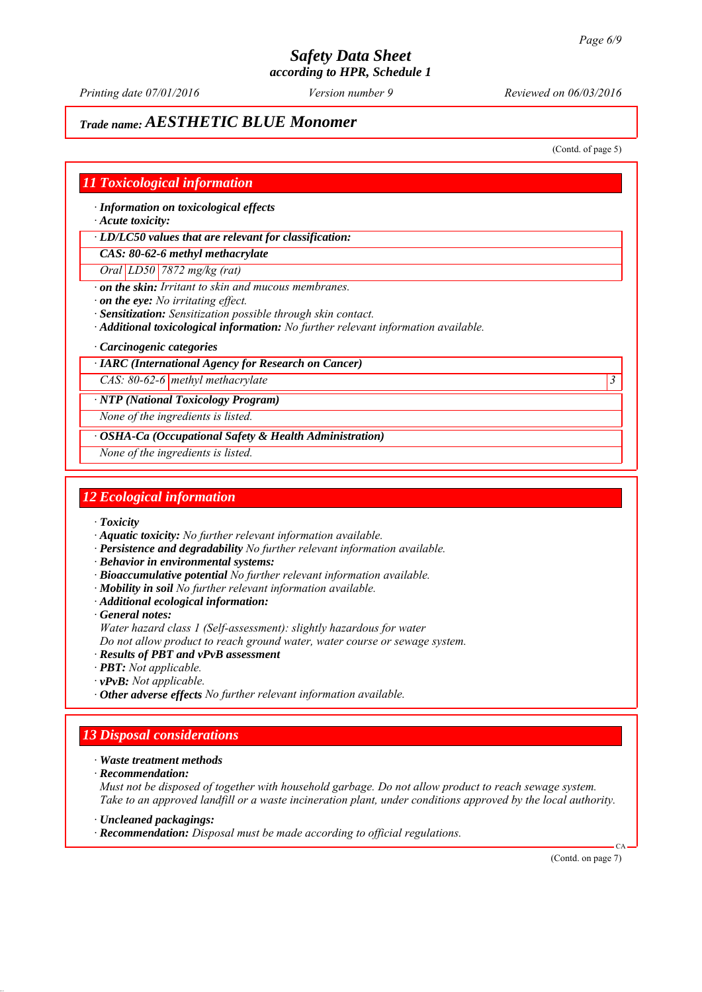*Printing date 07/01/2016 Reviewed on 06/03/2016 Version number 9*

## *Trade name: AESTHETIC BLUE Monomer*

(Contd. of page 5)

#### *11 Toxicological information*

*∙ Information on toxicological effects*

*∙ Acute toxicity:*

*∙ LD/LC50 values that are relevant for classification:*

*CAS: 80-62-6 methyl methacrylate*

*Oral LD50 7872 mg/kg (rat)*

*∙ on the skin: Irritant to skin and mucous membranes.*

*∙ on the eye: No irritating effect.*

*∙ Sensitization: Sensitization possible through skin contact.*

*∙ Additional toxicological information: No further relevant information available.*

*∙ Carcinogenic categories*

*∙ IARC (International Agency for Research on Cancer)*

*CAS: 80-62-6 methyl methacrylate 3* 

*∙ NTP (National Toxicology Program)*

*None of the ingredients is listed.*

*∙ OSHA-Ca (Occupational Safety & Health Administration)*

*None of the ingredients is listed.*

#### *12 Ecological information*

*∙ Toxicity*

*∙ Aquatic toxicity: No further relevant information available.*

- *∙ Persistence and degradability No further relevant information available.*
- *∙ Behavior in environmental systems:*
- *∙ Bioaccumulative potential No further relevant information available.*
- *∙ Mobility in soil No further relevant information available.*
- *∙ Additional ecological information:*

*∙ General notes:*

*Water hazard class 1 (Self-assessment): slightly hazardous for water*

*Do not allow product to reach ground water, water course or sewage system.*

*∙ Results of PBT and vPvB assessment*

- *∙ PBT: Not applicable.*
- *∙ vPvB: Not applicable.*

*∙ Other adverse effects No further relevant information available.*

## *13 Disposal considerations*

*∙ Waste treatment methods*

*∙ Recommendation:*

*Must not be disposed of together with household garbage. Do not allow product to reach sewage system. Take to an approved landfill or a waste incineration plant, under conditions approved by the local authority.*

*∙ Uncleaned packagings:*

*∙ Recommendation: Disposal must be made according to official regulations.*

(Contd. on page 7)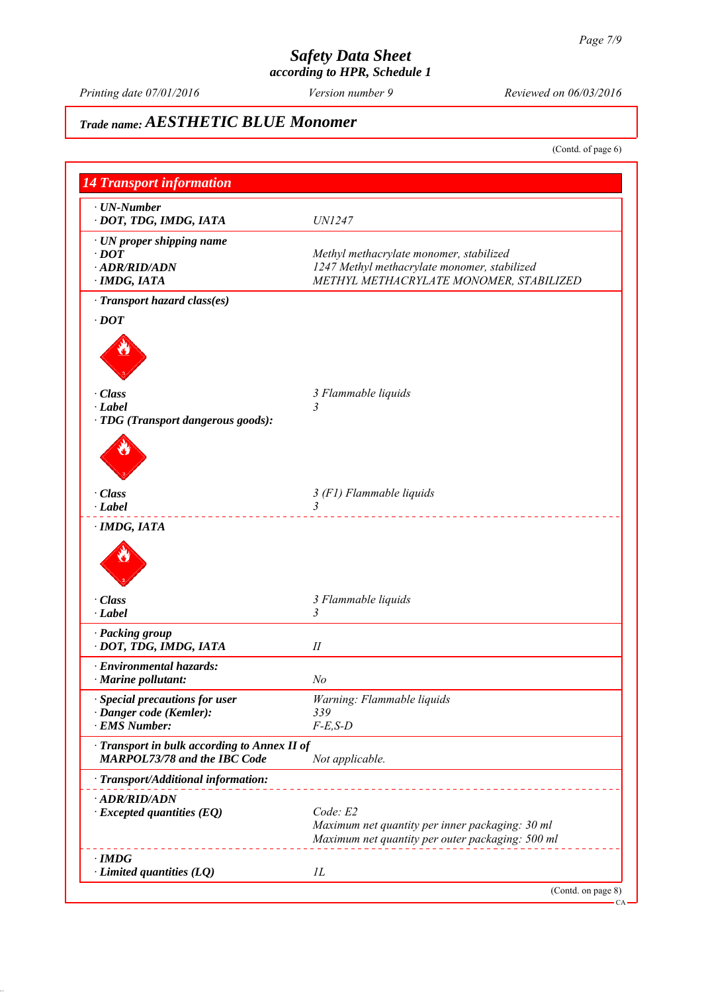*Printing date 07/01/2016 Reviewed on 06/03/2016 Version number 9*

# *Trade name: AESTHETIC BLUE Monomer*

(Contd. of page 6)

| $\cdot$ UN-Number<br>· DOT, TDG, IMDG, IATA                                         | <i>UN1247</i>                                                                                                                      |
|-------------------------------------------------------------------------------------|------------------------------------------------------------------------------------------------------------------------------------|
| · UN proper shipping name<br>$\cdot$ <i>DOT</i><br>· ADR/RID/ADN<br>· IMDG, IATA    | Methyl methacrylate monomer, stabilized<br>1247 Methyl methacrylate monomer, stabilized<br>METHYL METHACRYLATE MONOMER, STABILIZED |
| · Transport hazard class(es)                                                        |                                                                                                                                    |
| $\cdot$ DOT                                                                         |                                                                                                                                    |
|                                                                                     |                                                                                                                                    |
| $\cdot$ Class                                                                       | 3 Flammable liquids                                                                                                                |
| $\cdot$ Label<br>· TDG (Transport dangerous goods):                                 |                                                                                                                                    |
|                                                                                     |                                                                                                                                    |
| · Class                                                                             | 3 (F1) Flammable liquids                                                                                                           |
| $\cdot$ Label                                                                       | $\mathcal{E}$                                                                                                                      |
| · Class<br>$\cdot$ Label                                                            | 3 Flammable liquids<br>3                                                                                                           |
|                                                                                     |                                                                                                                                    |
| · Packing group<br>· DOT, TDG, IMDG, IATA                                           | П                                                                                                                                  |
| · Environmental hazards:                                                            |                                                                                                                                    |
| $\cdot$ Marine pollutant:                                                           | No                                                                                                                                 |
| · Special precautions for user                                                      | Warning: Flammable liquids                                                                                                         |
| · Danger code (Kemler):                                                             | 339                                                                                                                                |
| · EMS Number:                                                                       | $F-E$ , $S-D$                                                                                                                      |
| · Transport in bulk according to Annex II of<br><b>MARPOL73/78 and the IBC Code</b> | Not applicable.                                                                                                                    |
| · Transport/Additional information:                                                 |                                                                                                                                    |
| $\cdot$ ADR/RID/ADN<br>$\cdot$ Excepted quantities (EQ)                             | Code: E2<br>Maximum net quantity per inner packaging: 30 ml<br>Maximum net quantity per outer packaging: 500 ml                    |
|                                                                                     |                                                                                                                                    |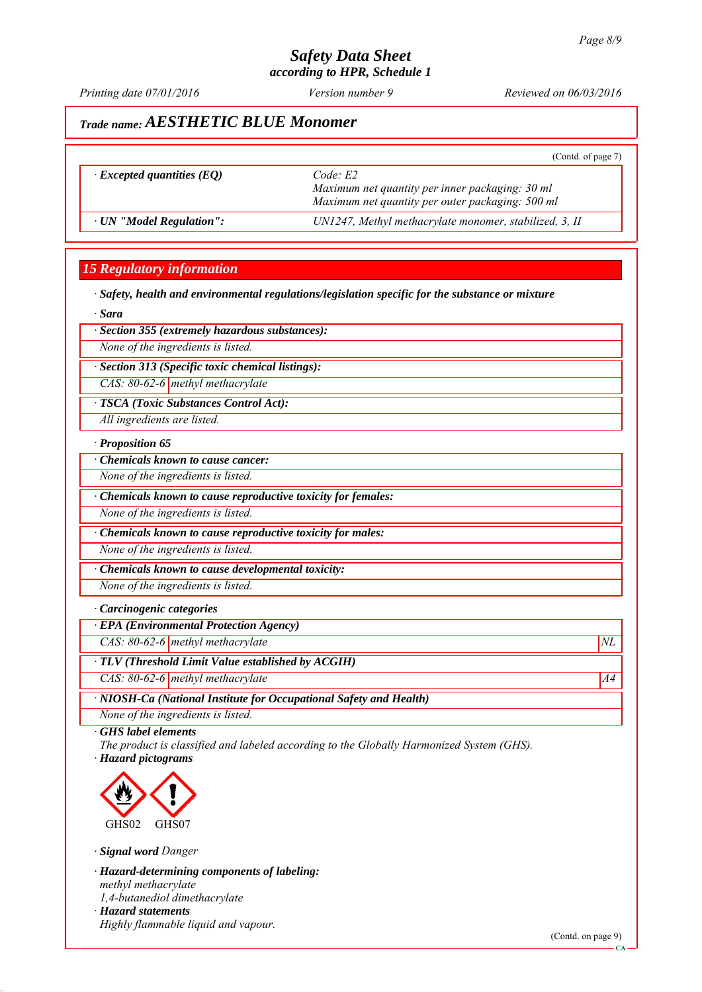*Printing date 07/01/2016 Reviewed on 06/03/2016 Version number 9*

## *Trade name: AESTHETIC BLUE Monomer*

|                                  | (Contd. of page 7)                                     |
|----------------------------------|--------------------------------------------------------|
| $\cdot$ Excepted quantities (EQ) | Code E2                                                |
|                                  | Maximum net quantity per inner packaging: 30 ml        |
|                                  | Maximum net quantity per outer packaging: 500 ml       |
| $\cdot$ UN "Model Regulation":   | UN1247, Methyl methacrylate monomer, stabilized, 3, II |

## *15 Regulatory information*

*∙ Safety, health and environmental regulations/legislation specific for the substance or mixture*

*∙ Sara*

*∙ Section 355 (extremely hazardous substances):*

*None of the ingredients is listed.*

*∙ Section 313 (Specific toxic chemical listings):*

*CAS: 80-62-6 methyl methacrylate*

*∙ TSCA (Toxic Substances Control Act):*

*All ingredients are listed.*

#### *∙ Proposition 65*

*∙ Chemicals known to cause cancer:*

*None of the ingredients is listed.*

*∙ Chemicals known to cause reproductive toxicity for females:*

*None of the ingredients is listed.*

*∙ Chemicals known to cause reproductive toxicity for males:*

*None of the ingredients is listed.*

*∙ Chemicals known to cause developmental toxicity:*

*None of the ingredients is listed.*

#### *∙ Carcinogenic categories*

*∙ EPA (Environmental Protection Agency)*

*CAS: 80-62-6 methyl methacrylate*  $NL$ 

*∙ TLV (Threshold Limit Value established by ACGIH)*

*CAS: 80-62-6 methyl methacrylate* A4<sup>4</sup>

*∙ NIOSH-Ca (National Institute for Occupational Safety and Health)*

*None of the ingredients is listed.*

*∙ GHS label elements*

*The product is classified and labeled according to the Globally Harmonized System (GHS). ∙ Hazard pictograms*



*∙ Signal word Danger*

*∙ Hazard-determining components of labeling: methyl methacrylate 1,4-butanediol dimethacrylate ∙ Hazard statements*

*Highly flammable liquid and vapour.*